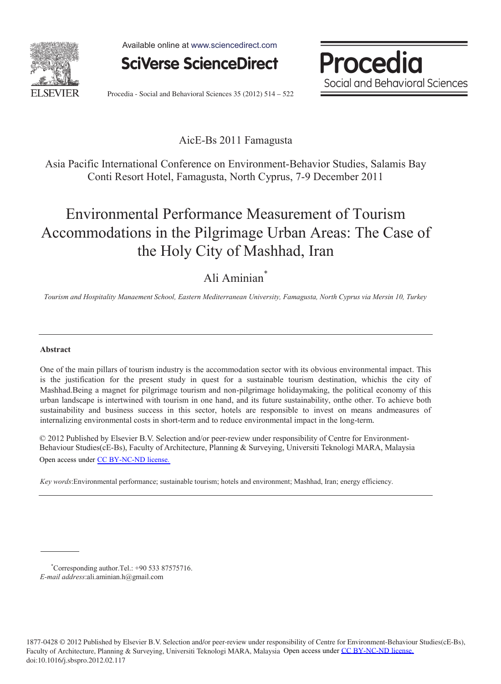

Available online at www.sciencedirect.com



Procedia Social and Behavioral Sciences

Procedia - Social and Behavioral Sciences 35 (2012) 514 – 522

### AicE-Bs 2011 Famagusta

Asia Pacific International Conference on Environment-Behavior Studies, Salamis Bay Conti Resort Hotel, Famagusta, North Cyprus, 7-9 December 2011

# Environmental Performance Measurement of Tourism Accommodations in the Pilgrimage Urban Areas: The Case of the Holy City of Mashhad, Iran

### Ali Aminian\*

*Tourism and Hospitality Manaement School, Eastern Mediterranean University, Famagusta, North Cyprus via Mersin 10, Turkey* 

#### **Abstract**

One of the main pillars of tourism industry is the accommodation sector with its obvious environmental impact. This is the justification for the present study in quest for a sustainable tourism destination, whichis the city of Mashhad.Being a magnet for pilgrimage tourism and non-pilgrimage holidaymaking, the political economy of this urban landscape is intertwined with tourism in one hand, and its future sustainability, onthe other. To achieve both sustainability and business success in this sector, hotels are responsible to invest on means andmeasures of internalizing environmental costs in short-term and to reduce environmental impact in the long-term.

© 2012 Published by Elsevier B.V. Selection and/or peer-review under responsibility of Centre for Environment-Behaviour Studies(cE-Bs), Faculty of Architecture, Planning & Surveying, Universiti Teknologi MARA, Malaysia Open access under [CC BY-NC-ND license.](http://creativecommons.org/licenses/by-nc-nd/3.0/)

*Key words*:Environmental performance; sustainable tourism; hotels and environment; Mashhad, Iran; energy efficiency.

<sup>\*</sup> Corresponding author.Tel.: +90 533 87575716. *E-mail address*:ali.aminian.h@gmail.com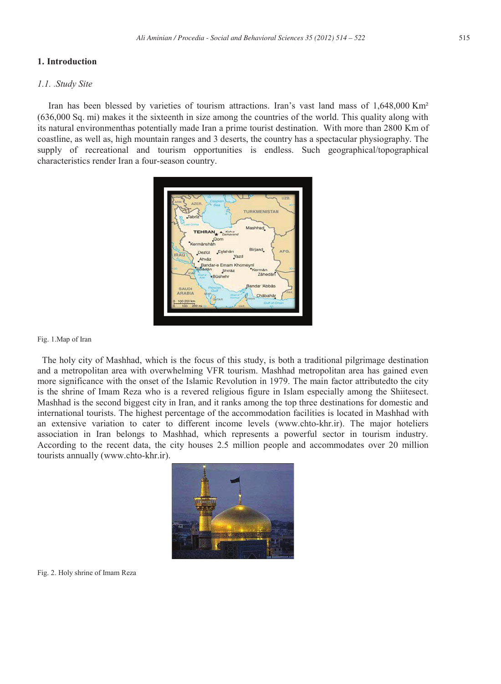#### **1. Introduction**

#### *1.1. .Study Site*

Iran has been blessed by varieties of tourism attractions. Iran's vast land mass of 1,648,000 Km² (636,000 Sq. mi) makes it the sixteenth in size among the countries of the world. This quality along with its natural environmenthas potentially made Iran a prime tourist destination. With more than 2800 Km of coastline, as well as, high mountain ranges and 3 deserts, the country has a spectacular physiography. The supply of recreational and tourism opportunities is endless. Such geographical/topographical characteristics render Iran a four-season country.



#### Fig. 1.Map of Iran

 The holy city of Mashhad, which is the focus of this study, is both a traditional pilgrimage destination and a metropolitan area with overwhelming VFR tourism. Mashhad metropolitan area has gained even more significance with the onset of the Islamic Revolution in 1979. The main factor attributedto the city is the shrine of Imam Reza who is a revered religious figure in Islam especially among the Shiitesect. Mashhad is the second biggest city in Iran, and it ranks among the top three destinations for domestic and international tourists. The highest percentage of the accommodation facilities is located in Mashhad with an extensive variation to cater to different income levels (www.chto-khr.ir). The major hoteliers association in Iran belongs to Mashhad, which represents a powerful sector in tourism industry. According to the recent data, the city houses 2.5 million people and accommodates over 20 million tourists annually (www.chto-khr.ir).



Fig. 2. Holy shrine of Imam Reza